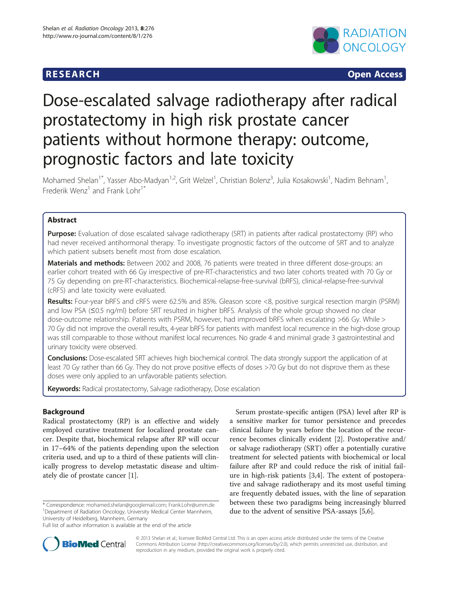## **RESEARCH RESEARCH** *CHECK <b>CHECK*



# Dose-escalated salvage radiotherapy after radical prostatectomy in high risk prostate cancer patients without hormone therapy: outcome, prognostic factors and late toxicity

Mohamed Shelan<sup>1\*</sup>, Yasser Abo-Madyan<sup>1,2</sup>, Grit Welzel<sup>1</sup>, Christian Bolenz<sup>3</sup>, Julia Kosakowski<sup>1</sup>, Nadim Behnam<sup>1</sup> , Frederik Wenz<sup>1</sup> and Frank Lohr<sup>1</sup><sup>\*</sup>

## Abstract

Purpose: Evaluation of dose escalated salvage radiotherapy (SRT) in patients after radical prostatectomy (RP) who had never received antihormonal therapy. To investigate prognostic factors of the outcome of SRT and to analyze which patient subsets benefit most from dose escalation.

Materials and methods: Between 2002 and 2008, 76 patients were treated in three different dose-groups: an earlier cohort treated with 66 Gy irrespective of pre-RT-characteristics and two later cohorts treated with 70 Gy or 75 Gy depending on pre-RT-characteristics. Biochemical-relapse-free-survival (bRFS), clinical-relapse-free-survival (cRFS) and late toxicity were evaluated.

Results: Four-year bRFS and cRFS were 62.5% and 85%. Gleason score <8, positive surgical resection margin (PSRM) and low PSA (≤0.5 ng/ml) before SRT resulted in higher bRFS. Analysis of the whole group showed no clear dose-outcome relationship. Patients with PSRM, however, had improved bRFS when escalating >66 Gy. While > 70 Gy did not improve the overall results, 4-year bRFS for patients with manifest local recurrence in the high-dose group was still comparable to those without manifest local recurrences. No grade 4 and minimal grade 3 gastrointestinal and urinary toxicity were observed.

Conclusions: Dose-escalated SRT achieves high biochemical control. The data strongly support the application of at least 70 Gy rather than 66 Gy. They do not prove positive effects of doses >70 Gy but do not disprove them as these doses were only applied to an unfavorable patients selection.

Keywords: Radical prostatectomy, Salvage radiotherapy, Dose escalation

## Background

Radical prostatectomy (RP) is an effective and widely employed curative treatment for localized prostate cancer. Despite that, biochemical relapse after RP will occur in 17–64% of the patients depending upon the selection criteria used, and up to a third of these patients will clinically progress to develop metastatic disease and ultimately die of prostate cancer [\[1](#page-6-0)].

\* Correspondence: [mohamed.shelan@googlemail.com](mailto:mohamed.shelan@googlemail.com); [Frank.Lohr@umm.de](mailto:Frank.Lohr@umm.de) <sup>1</sup> <sup>1</sup>Department of Radiation Oncology, University Medical Center Mannheim, University of Heidelberg, Mannheim, Germany

Full list of author information is available at the end of the article

Serum prostate-specific antigen (PSA) level after RP is a sensitive marker for tumor persistence and precedes clinical failure by years before the location of the recurrence becomes clinically evident [[2\]](#page-6-0). Postoperative and/ or salvage radiotherapy (SRT) offer a potentially curative treatment for selected patients with biochemical or local failure after RP and could reduce the risk of initial failure in high-risk patients [[3,4\]](#page-6-0). The extent of postoperative and salvage radiotherapy and its most useful timing are frequently debated issues, with the line of separation between these two paradigms being increasingly blurred due to the advent of sensitive PSA-assays [[5,6\]](#page-6-0).



© 2013 Shelan et al.; licensee BioMed Central Ltd. This is an open access article distributed under the terms of the Creative Commons Attribution License [\(http://creativecommons.org/licenses/by/2.0\)](http://creativecommons.org/licenses/by/2.0), which permits unrestricted use, distribution, and reproduction in any medium, provided the original work is properly cited.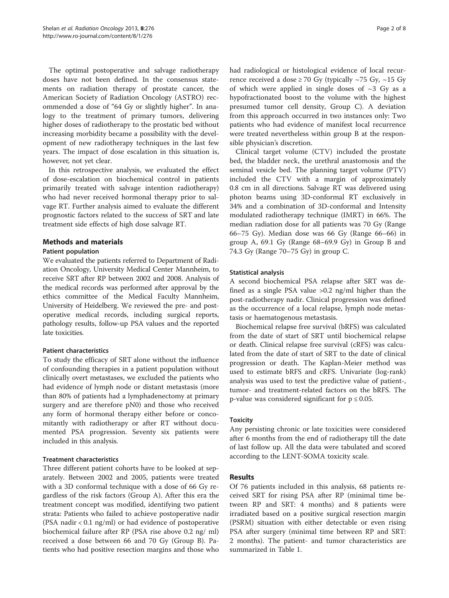The optimal postoperative and salvage radiotherapy doses have not been defined. In the consensus statements on radiation therapy of prostate cancer, the American Society of Radiation Oncology (ASTRO) recommended a dose of "64 Gy or slightly higher". In analogy to the treatment of primary tumors, delivering higher doses of radiotherapy to the prostatic bed without increasing morbidity became a possibility with the development of new radiotherapy techniques in the last few years. The impact of dose escalation in this situation is, however, not yet clear.

In this retrospective analysis, we evaluated the effect of dose-escalation on biochemical control in patients primarily treated with salvage intention radiotherapy) who had never received hormonal therapy prior to salvage RT. Further analysis aimed to evaluate the different prognostic factors related to the success of SRT and late treatment side effects of high dose salvage RT.

## Methods and materials

## Patient population

We evaluated the patients referred to Department of Radiation Oncology, University Medical Center Mannheim, to receive SRT after RP between 2002 and 2008. Analysis of the medical records was performed after approval by the ethics committee of the Medical Faculty Mannheim, University of Heidelberg. We reviewed the pre- and postoperative medical records, including surgical reports, pathology results, follow-up PSA values and the reported late toxicities.

## Patient characteristics

To study the efficacy of SRT alone without the influence of confounding therapies in a patient population without clinically overt metastases, we excluded the patients who had evidence of lymph node or distant metastasis (more than 80% of patients had a lymphadenectomy at primary surgery and are therefore pN0) and those who received any form of hormonal therapy either before or concomitantly with radiotherapy or after RT without documented PSA progression. Seventy six patients were included in this analysis.

## Treatment characteristics

Three different patient cohorts have to be looked at separately. Between 2002 and 2005, patients were treated with a 3D conformal technique with a dose of 66 Gy regardless of the risk factors (Group A). After this era the treatment concept was modified, identifying two patient strata: Patients who failed to achieve postoperative nadir (PSA nadir  $< 0.1$  ng/ml) or had evidence of postoperative biochemical failure after RP (PSA rise above 0.2 ng/ ml) received a dose between 66 and 70 Gy (Group B). Patients who had positive resection margins and those who had radiological or histological evidence of local recurrence received a dose  $\geq 70$  Gy (typically ~75 Gy, ~15 Gy of which were applied in single doses of  $\sim$ 3 Gy as a hypofractionated boost to the volume with the highest presumed tumor cell density, Group C). A deviation from this approach occurred in two instances only: Two patients who had evidence of manifest local recurrence were treated nevertheless within group B at the responsible physician's discretion.

Clinical target volume (CTV) included the prostate bed, the bladder neck, the urethral anastomosis and the seminal vesicle bed. The planning target volume (PTV) included the CTV with a margin of approximately 0.8 cm in all directions. Salvage RT was delivered using photon beams using 3D-conformal RT exclusively in 34% and a combination of 3D-conformal and Intensity modulated radiotherapy technique (IMRT) in 66%. The median radiation dose for all patients was 70 Gy (Range 66–75 Gy). Median dose was 66 Gy (Range 66–66) in group A, 69.1 Gy (Range 68–69.9 Gy) in Group B and 74.3 Gy (Range 70–75 Gy) in group C.

## Statistical analysis

A second biochemical PSA relapse after SRT was defined as a single PSA value >0.2 ng/ml higher than the post-radiotherapy nadir. Clinical progression was defined as the occurrence of a local relapse, lymph node metastasis or haematogenous metastasis.

Biochemical relapse free survival (bRFS) was calculated from the date of start of SRT until biochemical relapse or death. Clinical relapse free survival (cRFS) was calculated from the date of start of SRT to the date of clinical progression or death. The Kaplan-Meier method was used to estimate bRFS and cRFS. Univariate (log-rank) analysis was used to test the predictive value of patient-, tumor- and treatment-related factors on the bRFS. The p-value was considered significant for  $p \leq 0.05$ .

### **Toxicity**

Any persisting chronic or late toxicities were considered after 6 months from the end of radiotherapy till the date of last follow up. All the data were tabulated and scored according to the LENT-SOMA toxicity scale.

## Results

Of 76 patients included in this analysis, 68 patients received SRT for rising PSA after RP (minimal time between RP and SRT: 4 months) and 8 patients were irradiated based on a positive surgical resection margin (PSRM) situation with either detectable or even rising PSA after surgery (minimal time between RP and SRT: 2 months). The patient- and tumor characteristics are summarized in Table [1](#page-2-0).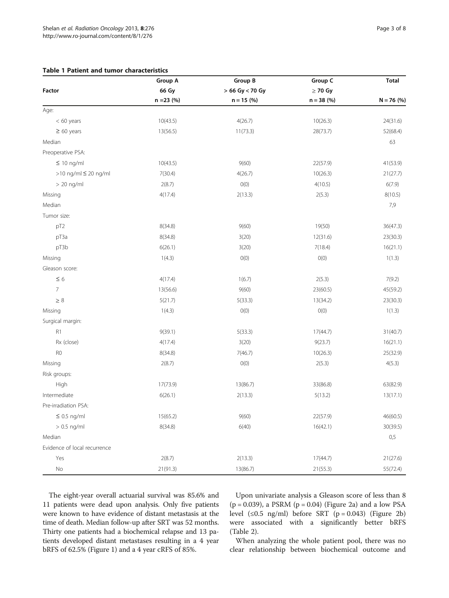## <span id="page-2-0"></span>Table 1 Patient and tumor characteristics

|                              | Group A      | <b>Group B</b>      | Group C      | <b>Total</b> |
|------------------------------|--------------|---------------------|--------------|--------------|
| Factor                       | 66 Gy        | $> 66$ Gy $< 70$ Gy | $\geq$ 70 Gy | $N = 76$ (%) |
|                              | $n = 23$ (%) | $n = 15$ (%)        | $n = 38 (%)$ |              |
| Age:                         |              |                     |              |              |
| $< 60$ years                 | 10(43.5)     | 4(26.7)             | 10(26.3)     | 24(31.6)     |
| $\geq 60$ years              | 13(56.5)     | 11(73.3)            | 28(73.7)     | 52(68.4)     |
| Median                       |              |                     |              | 63           |
| Preoperative PSA:            |              |                     |              |              |
| $\leq 10$ ng/ml              | 10(43.5)     | 9(60)               | 22(57.9)     | 41(53.9)     |
| >10 ng/ml ≤ 20 ng/ml         | 7(30.4)      | 4(26.7)             | 10(26.3)     | 21(27.7)     |
| $> 20$ ng/ml                 | 2(8.7)       | O(0)                | 4(10.5)      | 6(7.9)       |
| Missing                      | 4(17.4)      | 2(13.3)             | 2(5.3)       | 8(10.5)      |
| Median                       |              |                     |              | 7,9          |
| Tumor size:                  |              |                     |              |              |
| pT2                          | 8(34.8)      | 9(60)               | 19(50)       | 36(47.3)     |
| рТЗа                         | 8(34.8)      | 3(20)               | 12(31.6)     | 23(30.3)     |
| pT3b                         | 6(26.1)      | 3(20)               | 7(18.4)      | 16(21.1)     |
| Missing                      | 1(4.3)       | O(0)                | O(0)         | 1(1.3)       |
| Gleason score:               |              |                     |              |              |
| $\leq$ 6                     | 4(17.4)      | 1(6.7)              | 2(5.3)       | 7(9.2)       |
| $\overline{7}$               | 13(56.6)     | 9(60)               | 23(60.5)     | 45(59.2)     |
| $\geq 8$                     | 5(21.7)      | 5(33.3)             | 13(34.2)     | 23(30.3)     |
| Missing                      | 1(4.3)       | O(0)                | O(0)         | 1(1.3)       |
| Surgical margin:             |              |                     |              |              |
| R1                           | 9(39.1)      | 5(33.3)             | 17(44.7)     | 31(40.7)     |
| Rx (close)                   | 4(17.4)      | 3(20)               | 9(23.7)      | 16(21.1)     |
| R <sub>0</sub>               | 8(34.8)      | 7(46.7)             | 10(26.3)     | 25(32.9)     |
| Missing                      | 2(8.7)       | O(0)                | 2(5.3)       | 4(5.3)       |
| Risk groups:                 |              |                     |              |              |
| High                         | 17(73.9)     | 13(86.7)            | 33(86.8)     | 63(82.9)     |
| Intermediate                 | 6(26.1)      | 2(13.3)             | 5(13.2)      | 13(17.1)     |
| Pre-irradiation PSA:         |              |                     |              |              |
| $\leq$ 0.5 ng/ml             | 15(65.2)     | 9(60)               | 22(57.9)     | 46(60.5)     |
| $> 0.5$ ng/ml                | 8(34.8)      | 6(40)               | 16(42.1)     | 30(39.5)     |
| Median                       |              |                     |              | 0,5          |
| Evidence of local recurrence |              |                     |              |              |
| Yes                          | 2(8.7)       | 2(13.3)             | 17(44.7)     | 21(27.6)     |
| $\rm No$                     | 21(91.3)     | 13(86.7)            | 21(55.3)     | 55(72.4)     |

The eight-year overall actuarial survival was 85.6% and 11 patients were dead upon analysis. Only five patients were known to have evidence of distant metastasis at the time of death. Median follow-up after SRT was 52 months. Thirty one patients had a biochemical relapse and 13 patients developed distant metastases resulting in a 4 year bRFS of 62.5% (Figure [1](#page-3-0)) and a 4 year cRFS of 85%.

Upon univariate analysis a Gleason score of less than 8  $(p = 0.039)$ , a PSRM  $(p = 0.04)$  (Figure [2](#page-3-0)a) and a low PSA level (≤0.5 ng/ml) before SRT (p = 0.043) (Figure [2](#page-3-0)b) were associated with a significantly better bRFS (Table [2\)](#page-4-0).

When analyzing the whole patient pool, there was no clear relationship between biochemical outcome and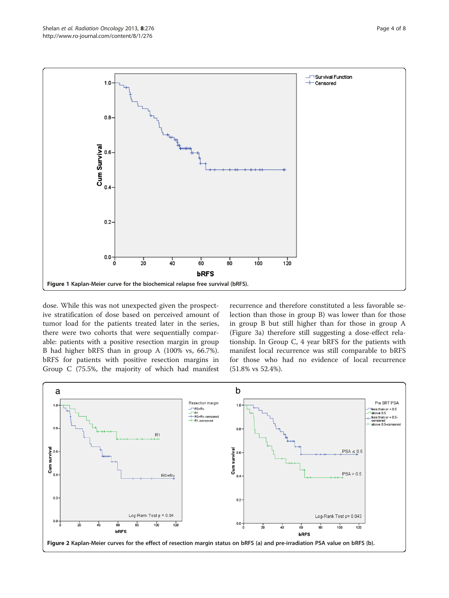<span id="page-3-0"></span>

dose. While this was not unexpected given the prospective stratification of dose based on perceived amount of tumor load for the patients treated later in the series, there were two cohorts that were sequentially comparable: patients with a positive resection margin in group B had higher bRFS than in group A (100% vs, 66.7%). bRFS for patients with positive resection margins in Group C (75.5%, the majority of which had manifest

recurrence and therefore constituted a less favorable selection than those in group B) was lower than for those in group B but still higher than for those in group A (Figure [3a](#page-4-0)) therefore still suggesting a dose-effect relationship. In Group C, 4 year bRFS for the patients with manifest local recurrence was still comparable to bRFS for those who had no evidence of local recurrence (51.8% vs 52.4%).

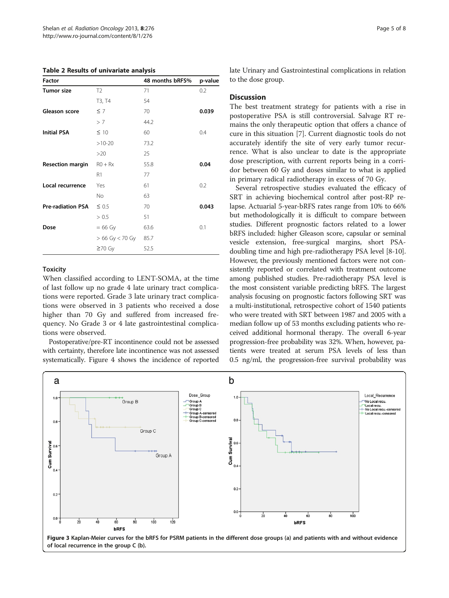<span id="page-4-0"></span>Table 2 Results of univariate analysis

| <b>Factor</b>            |                     | 48 months bRFS% | p-value |
|--------------------------|---------------------|-----------------|---------|
| <b>Tumor size</b>        | T <sub>2</sub>      | 71              | 0.2     |
|                          | T3, T4              | 54              |         |
| Gleason score            | $\leq$ 7            | 70              | 0.039   |
|                          | > 7                 | 44.2            |         |
| <b>Initial PSA</b>       | $\leq 10$           | 60              | 0.4     |
|                          | $>10-20$            | 73.2            |         |
|                          | >20                 | 25              |         |
| <b>Resection margin</b>  | $RO + Rx$           | 55.8            | 0.04    |
|                          | R1                  | 77              |         |
| Local recurrence         | Yes                 | 61              | 0.2     |
|                          | No                  | 63              |         |
| <b>Pre-radiation PSA</b> | $\leq 0.5$          | 70              | 0.043   |
|                          | > 0.5               | 51              |         |
| Dose                     | $= 66$ Gy           | 63.6            | 0.1     |
|                          | $> 66$ Gy $< 70$ Gy | 85.7            |         |
|                          | $\geq 70$ Gy        | 52.5            |         |

#### **Toxicity**

When classified according to LENT-SOMA, at the time of last follow up no grade 4 late urinary tract complications were reported. Grade 3 late urinary tract complications were observed in 3 patients who received a dose higher than 70 Gy and suffered from increased frequency. No Grade 3 or 4 late gastrointestinal complications were observed.

Postoperative/pre-RT incontinence could not be assessed with certainty, therefore late incontinence was not assessed systematically. Figure [4](#page-5-0) shows the incidence of reported late Urinary and Gastrointestinal complications in relation to the dose group.

#### **Discussion**

The best treatment strategy for patients with a rise in postoperative PSA is still controversial. Salvage RT remains the only therapeutic option that offers a chance of cure in this situation [[7\]](#page-6-0). Current diagnostic tools do not accurately identify the site of very early tumor recurrence. What is also unclear to date is the appropriate dose prescription, with current reports being in a corridor between 60 Gy and doses similar to what is applied in primary radical radiotherapy in excess of 70 Gy.

Several retrospective studies evaluated the efficacy of SRT in achieving biochemical control after post-RP relapse. Actuarial 5-year-bRFS rates range from 10% to 66% but methodologically it is difficult to compare between studies. Different prognostic factors related to a lower bRFS included: higher Gleason score, capsular or seminal vesicle extension, free-surgical margins, short PSAdoubling time and high pre-radiotherapy PSA level [\[8](#page-6-0)-[10](#page-6-0)]. However, the previously mentioned factors were not consistently reported or correlated with treatment outcome among published studies. Pre-radiotherapy PSA level is the most consistent variable predicting bRFS. The largest analysis focusing on prognostic factors following SRT was a multi-institutional, retrospective cohort of 1540 patients who were treated with SRT between 1987 and 2005 with a median follow up of 53 months excluding patients who received additional hormonal therapy. The overall 6-year progression-free probability was 32%. When, however, patients were treated at serum PSA levels of less than 0.5 ng/ml, the progression-free survival probability was



Figure 3 Kaplan-Meier curves for the bRFS for PSRM patients in the different dose groups (a) and patients with and without evidence of local recurrence in the group C (b).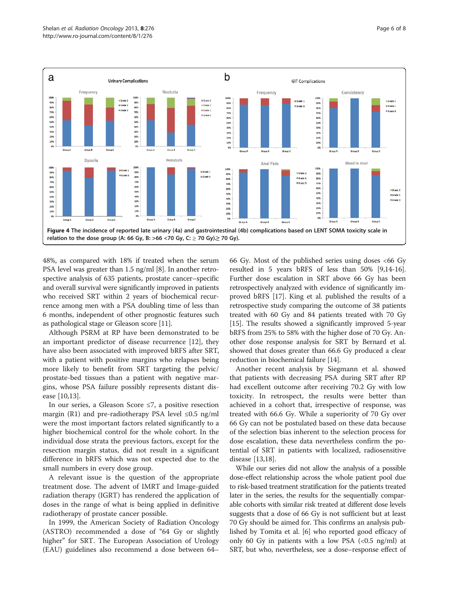<span id="page-5-0"></span>

48%, as compared with 18% if treated when the serum PSA level was greater than 1.5 ng/ml [\[8\]](#page-6-0). In another retrospective analysis of 635 patients, prostate cancer–specific and overall survival were significantly improved in patients who received SRT within 2 years of biochemical recurrence among men with a PSA doubling time of less than 6 months, independent of other prognostic features such as pathological stage or Gleason score [[11](#page-6-0)].

Although PSRM at RP have been demonstrated to be an important predictor of disease recurrence [[12\]](#page-7-0), they have also been associated with improved bRFS after SRT, with a patient with positive margins who relapses being more likely to benefit from SRT targeting the pelvic/ prostate-bed tissues than a patient with negative margins, whose PSA failure possibly represents distant disease [[10,](#page-6-0)[13\]](#page-7-0).

In our series, a Gleason Score ≤7, a positive resection margin (R1) and pre-radiotherapy PSA level  $\leq 0.5$  ng/ml were the most important factors related significantly to a higher biochemical control for the whole cohort. In the individual dose strata the previous factors, except for the resection margin status, did not result in a significant difference in bRFS which was not expected due to the small numbers in every dose group.

A relevant issue is the question of the appropriate treatment dose. The advent of IMRT and Image-guided radiation therapy (IGRT) has rendered the application of doses in the range of what is being applied in definitive radiotherapy of prostate cancer possible.

In 1999, the American Society of Radiation Oncology (ASTRO) recommended a dose of "64 Gy or slightly higher" for SRT. The European Association of Urology (EAU) guidelines also recommend a dose between 64–

66 Gy. Most of the published series using doses  $<66$  Gy resulted in 5 years bRFS of less than 50% [[9,](#page-6-0)[14](#page-7-0)-[16](#page-7-0)]. Further dose escalation in SRT above 66 Gy has been retrospectively analyzed with evidence of significantly improved bRFS [[17](#page-7-0)]. King et al. published the results of a retrospective study comparing the outcome of 38 patients treated with 60 Gy and 84 patients treated with 70 Gy [[15](#page-7-0)]. The results showed a significantly improved 5-year bRFS from 25% to 58% with the higher dose of 70 Gy. Another dose response analysis for SRT by Bernard et al. showed that doses greater than 66.6 Gy produced a clear reduction in biochemical failure [\[14](#page-7-0)].

Another recent analysis by Siegmann et al. showed that patients with decreasing PSA during SRT after RP had excellent outcome after receiving 70.2 Gy with low toxicity. In retrospect, the results were better than achieved in a cohort that, irrespective of response, was treated with 66.6 Gy. While a superiority of 70 Gy over 66 Gy can not be postulated based on these data because of the selection bias inherent to the selection process for dose escalation, these data nevertheless confirm the potential of SRT in patients with localized, radiosensitive disease [\[13,18](#page-7-0)].

While our series did not allow the analysis of a possible dose-effect relationship across the whole patient pool due to risk-based treatment stratification for the patients treated later in the series, the results for the sequentially comparable cohorts with similar risk treated at different dose levels suggests that a dose of 66 Gy is not sufficient but at least 70 Gy should be aimed for. This confirms an analysis published by Tomita et al. [\[6](#page-6-0)] who reported good efficacy of only 60 Gy in patients with a low PSA  $\langle$  <0.5 ng/ml) at SRT, but who, nevertheless, see a dose–response effect of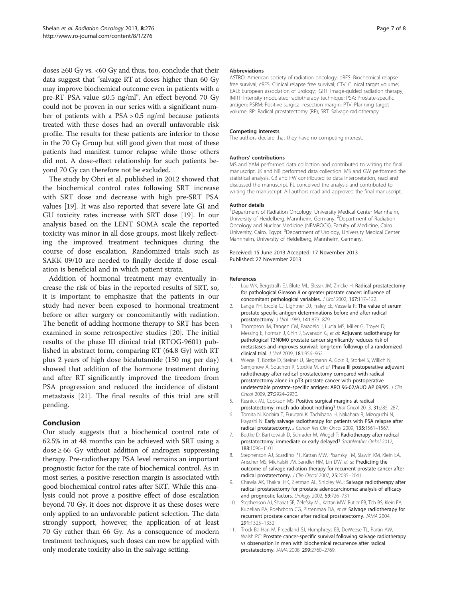<span id="page-6-0"></span>doses  $\geq 60$  Gy vs. <60 Gy and thus, too, conclude that their data suggest that "salvage RT at doses higher than 60 Gy may improve biochemical outcome even in patients with a pre-RT PSA value ≤0.5 ng/ml". An effect beyond 70 Gy could not be proven in our series with a significant number of patients with a PSA > 0.5 ng/ml because patients treated with these doses had an overall unfavorable risk profile. The results for these patients are inferior to those in the 70 Gy Group but still good given that most of these patients had manifest tumor relapse while those others did not. A dose-effect relationship for such patients beyond 70 Gy can therefore not be excluded.

The study by Ohri et al. published in 2012 showed that the biochemical control rates following SRT increase with SRT dose and decrease with high pre-SRT PSA values [\[19](#page-7-0)]. It was also reported that severe late GI and GU toxicity rates increase with SRT dose [\[19](#page-7-0)]. In our analysis based on the LENT SOMA scale the reported toxicity was minor in all dose groups, most likely reflecting the improved treatment techniques during the course of dose escalation. Randomized trials such as SAKK 09/10 are needed to finally decide if dose escalation is beneficial and in which patient strata.

Addition of hormonal treatment may eventually increase the risk of bias in the reported results of SRT, so, it is important to emphasize that the patients in our study had never been exposed to hormonal treatment before or after surgery or concomitantly with radiation. The benefit of adding hormone therapy to SRT has been examined in some retrospective studies [\[20](#page-7-0)]. The initial results of the phase III clinical trial (RTOG-9601) published in abstract form, comparing RT (64.8 Gy) with RT plus 2 years of high dose bicalutamide (150 mg per day) showed that addition of the hormone treatment during and after RT significantly improved the freedom from PSA progression and reduced the incidence of distant metastasis [[21\]](#page-7-0). The final results of this trial are still pending.

## Conclusion

Our study suggests that a biochemical control rate of 62.5% in at 48 months can be achieved with SRT using a  $dose \ge 66$  Gy without addition of androgen suppressing therapy. Pre-radiotherapy PSA level remains an important prognostic factor for the rate of biochemical control. As in most series, a positive resection margin is associated with good biochemical control rates after SRT. While this analysis could not prove a positive effect of dose escalation beyond 70 Gy, it does not disprove it as these doses were only applied to an unfavorable patient selection. The data strongly support, however, the application of at least 70 Gy rather than 66 Gy. As a consequence of modern treatment techniques, such doses can now be applied with only moderate toxicity also in the salvage setting.

#### Abbreviations

ASTRO: American society of radiation oncology; bRFS: Biochemical relapse free survival; cRFS: Clinical relapse free survival; CTV: Clinical target volume; EAU: European association of urology; IGRT: Image-guided radiation therapy; IMRT: Intensity modulated radiotherapy technique; PSA: Prostate-specific antigen; PSRM: Positive surgical resection margin; PTV: Planning target volume; RP: Radical prostatectomy (RP); SRT: Salvage radiotherapy.

#### Competing interests

The authors declare that they have no competing interest.

#### Authors' contributions

MS and YAM performed data collection and contributed to writing the final manuscript. JK and NB performed data collection. MS and GW performed the statistical analysis. CB and FW contributed to data interpretation, read and discussed the manuscript. FL conceived the analysis and contributed to writing the manuscript. All authors read and approved the final manuscript.

#### Author details

<sup>1</sup> Department of Radiation Oncology, University Medical Center Mannheim, University of Heidelberg, Mannheim, Germany. <sup>2</sup>Department of Radiation Oncology and Nuclear Medicine (NEMROCK), Faculty of Medicine, Cairo University, Cairo, Egypt. <sup>3</sup>Department of Urology, University Medical Center Mannheim, University of Heidelberg, Mannheim, Germany.

Received: 15 June 2013 Accepted: 17 November 2013 Published: 27 November 2013

#### References

- Lau WK, Bergstralh EJ, Blute ML, Slezak JM, Zincke H: Radical prostatectomy for pathological Gleason 8 or greater prostate cancer: influence of concomitant pathological variables. J Urol 2002, 167:117–122.
- Lange PH, Ercole CJ, Lightner DJ, Fraley EE, Vessella R: The value of serum prostate specific antigen determinations before and after radical prostatectomy. J Urol 1989, 141:873–879.
- 3. Thompson IM, Tangen CM, Paradelo J, Lucia MS, Miller G, Troyer D, Messing E, Forman J, Chin J, Swanson G, et al: Adjuvant radiotherapy for pathological T3N0M0 prostate cancer significantly reduces risk of metastases and improves survival: long-term followup of a randomized clinical trial. J Urol 2009, 181:956–962.
- 4. Wiegel T, Bottke D, Steiner U, Siegmann A, Golz R, Storkel S, Willich N, Semjonow A, Souchon R, Stockle M, et al: Phase III postoperative adjuvant radiotherapy after radical prostatectomy compared with radical prostatectomy alone in pT3 prostate cancer with postoperative undetectable prostate-specific antigen: ARO 96-02/AUO AP 09/95. J Clin Oncol 2009, 27:2924–2930.
- 5. Resnick MJ, Cookson MS: Positive surgical margins at radical prostatectomy: much ado about nothing? Urol Oncol 2013, 31:285–287.
- 6. Tomita N, Kodaira T, Furutani K, Tachibana H, Nakahara R, Mizoguchi N, Hayashi N: Early salvage radiotherapy for patients with PSA relapse after radical prostatectomy. J Cancer Res Clin Oncol 2009, 135:1561–1567.
- 7. Bottke D, Bartkowiak D, Schrader M, Wiegel T: Radiotherapy after radical prostatectomy: immediate or early delayed? Strahlenther Onkol 2012, 188:1096–1101.
- 8. Stephenson AJ, Scardino PT, Kattan MW, Pisansky TM, Slawin KM, Klein EA, Anscher MS, Michalski JM, Sandler HM, Lin DW, et al: Predicting the outcome of salvage radiation therapy for recurrent prostate cancer after radical prostatectomy. J Clin Oncol 2007, 25:2035–2041.
- 9. Chawla AK, Thakral HK, Zietman AL, Shipley WU: Salvage radiotherapy after radical prostatectomy for prostate adenocarcinoma: analysis of efficacy and prognostic factors. Urology 2002, 59:726–731.
- 10. Stephenson AJ, Shariat SF, Zelefsky MJ, Kattan MW, Butler EB, Teh BS, Klein EA, Kupelian PA, Roehrborn CG, Pistenmaa DA, et al: Salvage radiotherapy for recurrent prostate cancer after radical prostatectomy. JAMA 2004, 291:1325–1332.
- 11. Trock BJ, Han M, Freedland SJ, Humphreys EB, DeWeese TL, Partin AW, Walsh PC: Prostate cancer-specific survival following salvage radiotherapy vs observation in men with biochemical recurrence after radical prostatectomy. JAMA 2008, 299:2760–2769.